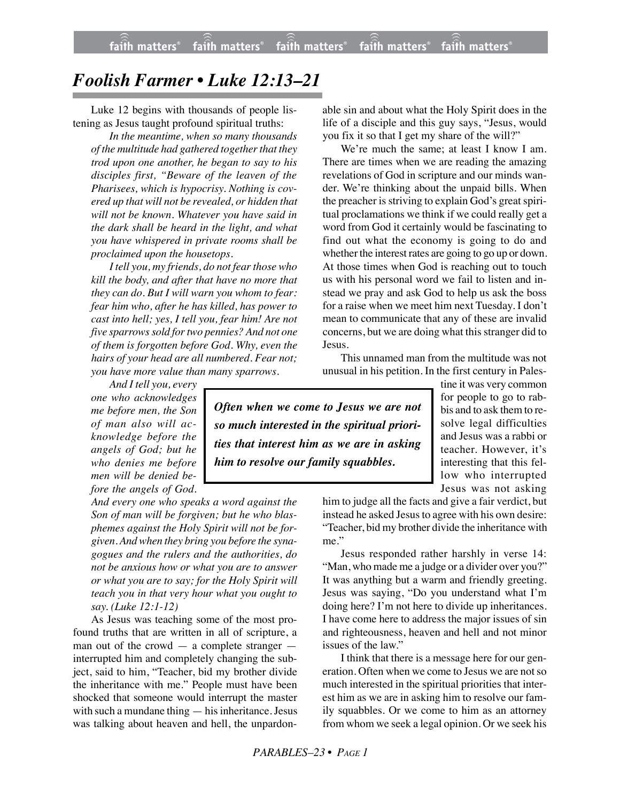## *Foolish Farmer • Luke 12:13–21*

Luke 12 begins with thousands of people listening as Jesus taught profound spiritual truths:

*In the meantime, when so many thousands of the multitude had gathered together that they trod upon one another, he began to say to his disciples first, "Beware of the leaven of the Pharisees, which is hypocrisy. Nothing is covered up that will not be revealed, or hidden that will not be known. Whatever you have said in the dark shall be heard in the light, and what you have whispered in private rooms shall be proclaimed upon the housetops.*

*I tell you, my friends, do not fear those who kill the body, and after that have no more that they can do. But I will warn you whom to fear: fear him who, after he has killed, has power to cast into hell; yes, I tell you, fear him! Are not five sparrows sold fortwo pennies? And not one of them is forgotten before God. Why, even the hairs of your head are all numbered. Fear not; you have more value than many sparrows.*

*And I tell you, every one who acknowledges me before men, the Son of man also will acknowledge before the angels of God; but he who denies me before men will be denied before the angels of God.*

*And every one who speaks a word against the Son of man will be forgiven; but he who blasphemes against the Holy Spirit will not be forgiven. And when they bring you before the synagogues and the rulers and the authorities, do not be anxious how or what you are to answer or what you are to say; for the Holy Spirit will teach you in that very hour what you ought to say. (Luke 12:1-12)*

As Jesus was teaching some of the most profound truths that are written in all of scripture, a man out of the crowd — a complete stranger interrupted him and completely changing the subject, said to him, "Teacher, bid my brother divide the inheritance with me." People must have been shocked that someone would interrupt the master with such a mundane thing — his inheritance. Jesus was talking about heaven and hell, the unpardonable sin and about what the Holy Spirit does in the life of a disciple and this guy says, "Jesus, would you fix it so that I get my share of the will?"

We're much the same; at least I know I am. There are times when we are reading the amazing revelations of God in scripture and our minds wander. We're thinking about the unpaid bills. When the preacher is striving to explain God's great spiritual proclamations we think if we could really get a word from God it certainly would be fascinating to find out what the economy is going to do and whether the interest rates are going to go up or down. At those times when God is reaching out to touch us with his personal word we fail to listen and instead we pray and ask God to help us ask the boss for a raise when we meet him next Tuesday. I don't mean to communicate that any of these are invalid concerns, but we are doing what this stranger did to Jesus.

This unnamed man from the multitude was not unusual in his petition. In the first century in Pales-

*Often when we come to Jesus we are not so much interested in the spiritual priorities that interest him as we are in asking him to resolve our family squabbles.*

tine it was very common for people to go to rabbis and to ask them to resolve legal difficulties and Jesus was a rabbi or teacher. However, it's interesting that this fellow who interrupted Jesus was not asking

him to judge all the facts and give a fair verdict, but instead he asked Jesus to agree with his own desire: "Teacher, bid my brother divide the inheritance with me."

Jesus responded rather harshly in verse 14: "Man, who made me a judge or a divider over you?" It was anything but a warm and friendly greeting. Jesus was saying, "Do you understand what I'm doing here? I'm not here to divide up inheritances. I have come here to address the major issues of sin and righteousness, heaven and hell and not minor issues of the law."

I think that there is a message here for our generation. Often when we come to Jesus we are not so much interested in the spiritual priorities that interest him as we are in asking him to resolve our family squabbles. Or we come to him as an attorney from whom we seek a legal opinion. Or we seek his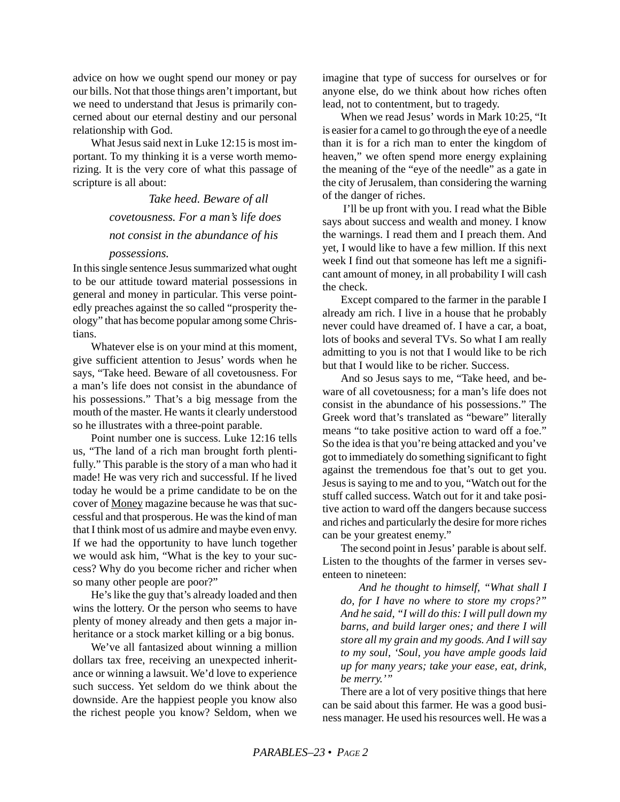advice on how we ought spend our money or pay our bills. Not that those things aren't important, but we need to understand that Jesus is primarily concerned about our eternal destiny and our personal relationship with God.

What Jesus said next in Luke 12:15 is most important. To my thinking it is a verse worth memorizing. It is the very core of what this passage of scripture is all about:

> *Take heed. Beware of all covetousness. For a man's life does not consist in the abundance of his*

## *possessions.*

In this single sentence Jesus summarized what ought to be our attitude toward material possessions in general and money in particular. This verse pointedly preaches against the so called "prosperity theology" that has become popular among some Christians.

Whatever else is on your mind at this moment, give sufficient attention to Jesus' words when he says, "Take heed. Beware of all covetousness. For a man's life does not consist in the abundance of his possessions." That's a big message from the mouth of the master. He wants it clearly understood so he illustrates with a three-point parable.

Point number one is success. Luke 12:16 tells us, "The land of a rich man brought forth plentifully." This parable is the story of a man who had it made! He was very rich and successful. If he lived today he would be a prime candidate to be on the cover of Money magazine because he was that successful and that prosperous. He was the kind of man that I think most of us admire and maybe even envy. If we had the opportunity to have lunch together we would ask him, "What is the key to your success? Why do you become richer and richer when so many other people are poor?"

He's like the guy that's already loaded and then wins the lottery. Or the person who seems to have plenty of money already and then gets a major inheritance or a stock market killing or a big bonus.

We've all fantasized about winning a million dollars tax free, receiving an unexpected inheritance or winning a lawsuit. We'd love to experience such success. Yet seldom do we think about the downside. Are the happiest people you know also the richest people you know? Seldom, when we imagine that type of success for ourselves or for anyone else, do we think about how riches often lead, not to contentment, but to tragedy.

When we read Jesus' words in Mark 10:25, "It is easier for a camel to go through the eye of a needle than it is for a rich man to enter the kingdom of heaven," we often spend more energy explaining the meaning of the "eye of the needle" as a gate in the city of Jerusalem, than considering the warning of the danger of riches.

 I'll be up front with you. I read what the Bible says about success and wealth and money. I know the warnings. I read them and I preach them. And yet, I would like to have a few million. If this next week I find out that someone has left me a significant amount of money, in all probability I will cash the check.

Except compared to the farmer in the parable I already am rich. I live in a house that he probably never could have dreamed of. I have a car, a boat, lots of books and several TVs. So what I am really admitting to you is not that I would like to be rich but that I would like to be richer. Success.

And so Jesus says to me, "Take heed, and beware of all covetousness; for a man's life does not consist in the abundance of his possessions." The Greek word that's translated as "beware" literally means "to take positive action to ward off a foe." So the idea is that you're being attacked and you've got to immediately do something significant to fight against the tremendous foe that's out to get you. Jesus is saying to me and to you, "Watch out for the stuff called success. Watch out for it and take positive action to ward off the dangers because success and riches and particularly the desire for more riches can be your greatest enemy."

The second point in Jesus' parable is about self. Listen to the thoughts of the farmer in verses seventeen to nineteen:

*And he thought to himself, "What shall I do, for I have no where to store my crops?" And he said, "I will do this: I will pull down my barns, and build larger ones; and there I will store all my grain and my goods. And I will say to my soul, 'Soul, you have ample goods laid up for many years; take your ease, eat, drink, be merry.'"*

There are a lot of very positive things that here can be said about this farmer. He was a good business manager. He used his resources well. He was a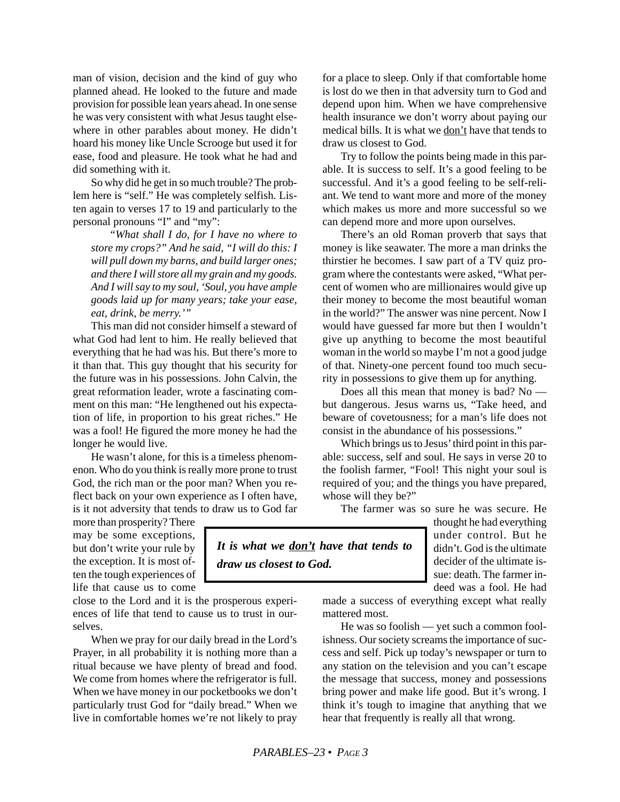man of vision, decision and the kind of guy who planned ahead. He looked to the future and made provision for possible lean years ahead. In one sense he was very consistent with what Jesus taught elsewhere in other parables about money. He didn't hoard his money like Uncle Scrooge but used it for ease, food and pleasure. He took what he had and did something with it.

So why did he get in so much trouble? The problem here is "self." He was completely selfish. Listen again to verses 17 to 19 and particularly to the personal pronouns "I" and "my":

*"What shall I do, for I have no where to store my crops?" And he said, "I will do this: I will pull down my barns, and build larger ones; and there I will store all my grain and my goods. And I will say to my soul, 'Soul, you have ample goods laid up for many years; take your ease, eat, drink, be merry.'"*

This man did not consider himself a steward of what God had lent to him. He really believed that everything that he had was his. But there's more to it than that. This guy thought that his security for the future was in his possessions. John Calvin, the great reformation leader, wrote a fascinating comment on this man: "He lengthened out his expectation of life, in proportion to his great riches." He was a fool! He figured the more money he had the longer he would live.

He wasn't alone, for this is a timeless phenomenon. Who do you think is really more prone to trust God, the rich man or the poor man? When you reflect back on your own experience as I often have, is it not adversity that tends to draw us to God far for a place to sleep. Only if that comfortable home is lost do we then in that adversity turn to God and depend upon him. When we have comprehensive health insurance we don't worry about paying our medical bills. It is what we don't have that tends to draw us closest to God.

Try to follow the points being made in this parable. It is success to self. It's a good feeling to be successful. And it's a good feeling to be self-reliant. We tend to want more and more of the money which makes us more and more successful so we can depend more and more upon ourselves.

There's an old Roman proverb that says that money is like seawater. The more a man drinks the thirstier he becomes. I saw part of a TV quiz program where the contestants were asked, "What percent of women who are millionaires would give up their money to become the most beautiful woman in the world?" The answer was nine percent. Now I would have guessed far more but then I wouldn't give up anything to become the most beautiful woman in the world so maybe I'm not a good judge of that. Ninety-one percent found too much security in possessions to give them up for anything.

Does all this mean that money is bad? No but dangerous. Jesus warns us, "Take heed, and beware of covetousness; for a man's life does not consist in the abundance of his possessions."

Which brings us to Jesus' third point in this parable: success, self and soul. He says in verse 20 to the foolish farmer, "Fool! This night your soul is required of you; and the things you have prepared, whose will they be?"

The farmer was so sure he was secure. He

more than prosperity? There may be some exceptions, but don't write your rule by the exception. It is most often the tough experiences of life that cause us to come

close to the Lord and it is the prosperous experiences of life that tend to cause us to trust in ourselves.

When we pray for our daily bread in the Lord's Prayer, in all probability it is nothing more than a ritual because we have plenty of bread and food. We come from homes where the refrigerator is full. When we have money in our pocketbooks we don't particularly trust God for "daily bread." When we live in comfortable homes we're not likely to pray

*It is what we don't have that tends to draw us closest to God.*

thought he had everything under control. But he didn't. God is the ultimate decider of the ultimate issue: death. The farmer indeed was a fool. He had

made a success of everything except what really mattered most.

He was so foolish — yet such a common foolishness. Our society screams the importance of success and self. Pick up today's newspaper or turn to any station on the television and you can't escape the message that success, money and possessions bring power and make life good. But it's wrong. I think it's tough to imagine that anything that we hear that frequently is really all that wrong.